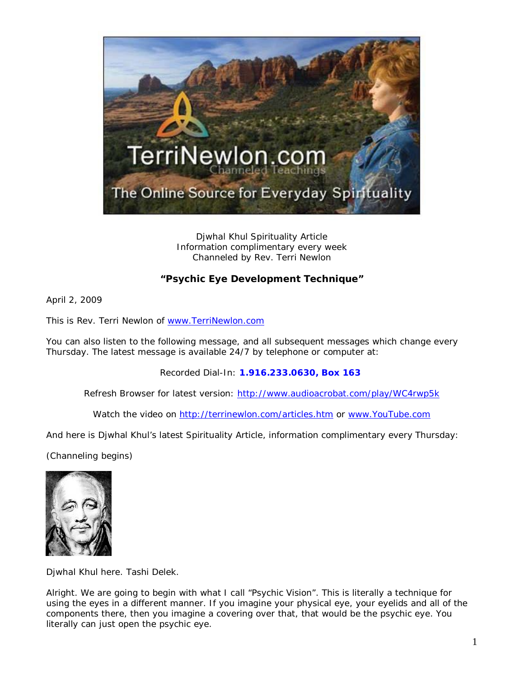

Djwhal Khul Spirituality Article Information complimentary every week Channeled by Rev. Terri Newlon

## **"Psychic Eye Development Technique"**

April 2, 2009

This is Rev. Terri Newlon of [www.TerriNewlon.com](http://www.terrinewlon.com/)

You can also listen to the following message, and all subsequent messages which change every Thursday. The latest message is available 24/7 by telephone or computer at:

Recorded Dial-In: **1.916.233.0630, Box 163**

Refresh Browser for latest version: <http://www.audioacrobat.com/play/WC4rwp5k>

Watch the video on<http://terrinewlon.com/articles.htm> or [www.YouTube.com](http://www.youtube.com/)

And here is Djwhal Khul's latest Spirituality Article, information complimentary every Thursday:

(Channeling begins)



Djwhal Khul here. Tashi Delek.

Alright. We are going to begin with what I call "Psychic Vision". This is literally a technique for using the eyes in a different manner. If you imagine your physical eye, your eyelids and all of the components there, then you imagine a covering over that, that would be the psychic eye. You literally can just open the psychic eye.